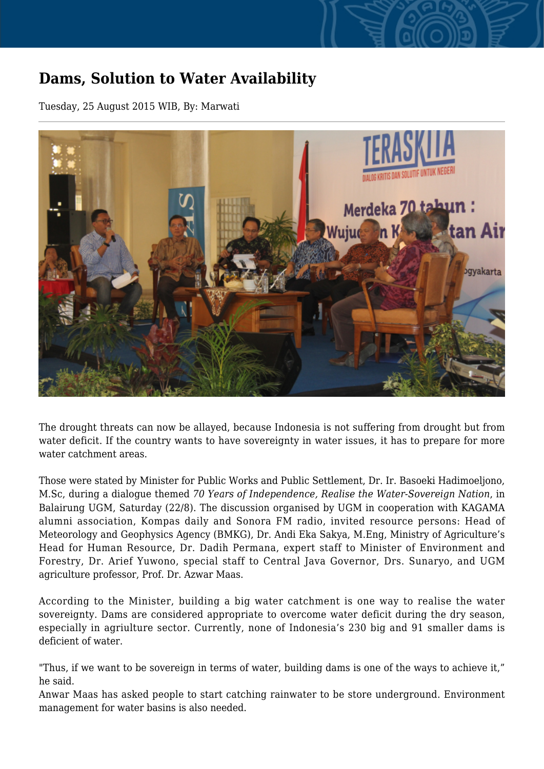## **Dams, Solution to Water Availability**

Tuesday, 25 August 2015 WIB, By: Marwati



The drought threats can now be allayed, because Indonesia is not suffering from drought but from water deficit. If the country wants to have sovereignty in water issues, it has to prepare for more water catchment areas.

Those were stated by Minister for Public Works and Public Settlement, Dr. Ir. Basoeki Hadimoeljono, M.Sc, during a dialogue themed *70 Years of Independence, Realise the Water-Sovereign Nation*, in Balairung UGM, Saturday (22/8). The discussion organised by UGM in cooperation with KAGAMA alumni association, Kompas daily and Sonora FM radio, invited resource persons: Head of Meteorology and Geophysics Agency (BMKG), Dr. Andi Eka Sakya, M.Eng, Ministry of Agriculture's Head for Human Resource, Dr. Dadih Permana, expert staff to Minister of Environment and Forestry, Dr. Arief Yuwono, special staff to Central Java Governor, Drs. Sunaryo, and UGM agriculture professor, Prof. Dr. Azwar Maas.

According to the Minister, building a big water catchment is one way to realise the water sovereignty. Dams are considered appropriate to overcome water deficit during the dry season, especially in agriulture sector. Currently, none of Indonesia's 230 big and 91 smaller dams is deficient of water.

"Thus, if we want to be sovereign in terms of water, building dams is one of the ways to achieve it," he said.

Anwar Maas has asked people to start catching rainwater to be store underground. Environment management for water basins is also needed.